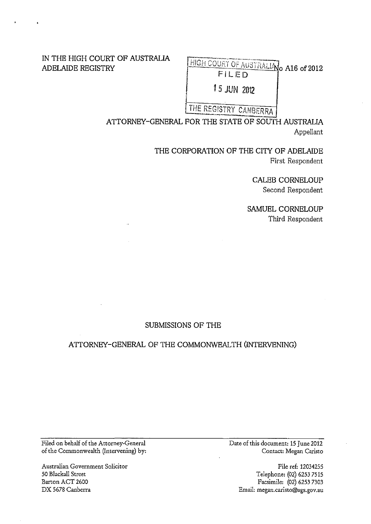## IN THE HIGH COURT OF AUSTRALIA ADELAIDE REGISTRY

 $\frac{HIGH COURT OF AUSTRALIN}{HIGH COURT}$  A16 of 2012 FILED

1 *5* JUN 2012

# THE REGISTRY CANBERRA

ATTORNEY-GENERAL FOR THE STATE OF SOUTH AUSTRALIA Appellant

/

THE CORPORATION OF THE CITY OF ADELAIDE First Respondent

> CALEB CORNELOUP Second Respondent

SAMUEL CORNELOUP Third Respondent

## SUBMISSIONS OF THE

## ATTORNEY-GENERAL OF THE COMMONWEALTH (INTERVENING)

Filed on behalf of the Attorney-General of the Commonwealth (Intervening) by:

Australian Government Solicitor 50 Blackall Street Barton ACT 2600 DX 5678 Canberra

Date of this document: 15 June 2012 Contact: Megan Caristo

> File ref: 12034255 Telephone: (02) 6253 7515 Facsimile: (02) 6253 7303 Email: megan.caristo@ags.gov.au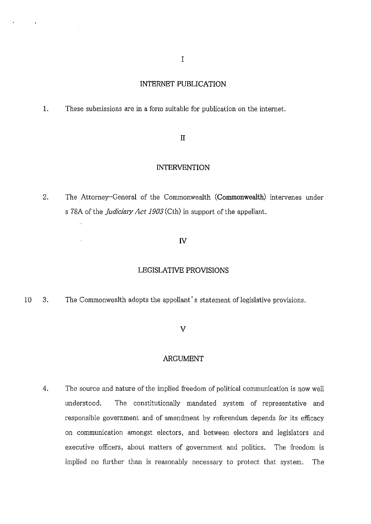#### **INTERNET PUBLICATION**

**1.** These submissions are **in** a form suitable for publication on the internet.

 $\ddot{\phantom{a}}$ 

 $\ddot{\phantom{a}}$ 

#### II

#### **INTERVENTION**

2. The Attorney-General of the Commonwealth **(Commonwealth)** intervenes under s 78A of the *Judiciary Act 1903* (Cth) in support of the appellant.

#### **IV**

#### **LEGISLATIVE PROVISIONS**

10 3. The Commonwealth adopts the appellant's statement of legislative provisions.

#### **v**

### **ARGUMENT**

4. The source and nature of the implied freedom of political communication is now well understood. The constitutionally mandated system of representative and responsible government and of amendment by referendum depends for its efficacy on communication amongst electors, and between electors and legislators and executive officers, about matters of government and politics. The freedom is implied no further than is reasonably necessary to protect that system. The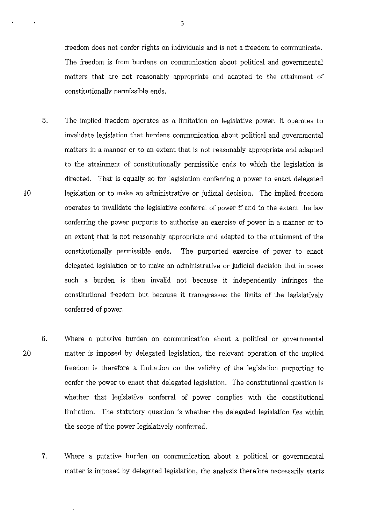freedom does not confer rights on individuals and is not a freedom to communicate. The freedom is from burdens on communication about political and governmental matters that are not reasonably appropriate and adapted to the attainment of constitutionally permissible ends.

- 5. The implied freedom operates as a limitation on legislative power. It operates to invalidate legislation that burdens communication about political and governmental matters in a manner or to an extent that is not reasonably appropriate and adapted to the attainment of constitutionally permissible ends to which the legislation is directed. That is equally so for legislation conferring a power to enact delegated legislation or to make an administrative or judicial decision. The implied freedom operates to invalidate the legislative conferral of power if and to the extent the law conferring the power purports to authorise an exercise of power in a manner or to an extent that is not reasonably appropriate and adapted to the attainment of the constitutionally permissible ends. The purported exercise of power to enact delegated legislation or to make an administrative or judicial decision that imposes such a burden is then invalid not because it independently infringes the constitutional freedom but because it transgresses the limits of the legislatively conferred of power.
- 6. Where a putative burden on communication about a political or governmental matter is imposed by delegated legislation, the relevant operation of the implied freedom is therefore a limitation on the validity of the legislation purporting to confer the power to enact that delegated legislation. The constitutional question is whether that legislative conferral of power complies with the constitutional limitation. The statutory question is whether the delegated legislation lies within the scope of the power legislatively conferred.
	- 7. Where a putative burden on communication about a political or governmental matter is imposed by delegated legislation, the analysis therefore necessarily starts

20

10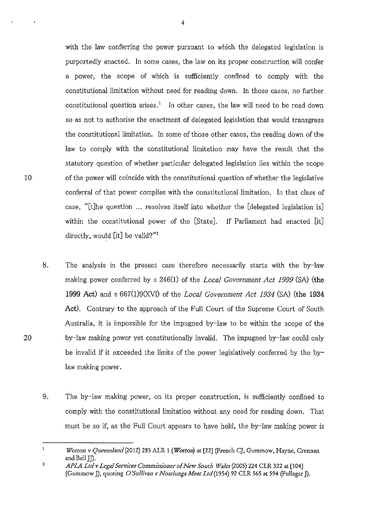with the law conferring the power pursuant to which the delegated legislation is purportedly enacted. In some cases, the law on its proper construction will confer a power, the scope of which is sufficiently confined to comply with the constitutional limitation without need for reading down. In those cases, no further constitutional question arises.<sup>1</sup> In other cases, the law will need to be read down so as not to authorise the enactment of delegated legislation that would transgress the constitutional limitation. In some of those other cases, the reading down of the law to comply with the constitutional limitation may have the result that the statutory question of whether particular delegated legislation lies within the scope of the power will coincide with the constitutional question of whether the legislative conferral of that power complies with the constitutional limitation. In that class of case, "[t]he question ... resolves itself into whether the [delegated legislation is] within the constitutional power of the [State]. If Parliament had enacted [it] directly, would [it] be valid?"<sup>2</sup>

- 8. The analysis in the present case therefore necessarily starts with the by-law making power conferred by s 246(1) of the *Local Government Act 1999* (SA) (the 1999 Act) and s 667(1)9(XVI) of the *Local Government Act 1934* (SA) (the 1934 Act). Contrary to the approach of the Full Court of the Supreme Court of South Australia, it is impossible for the impugned by-law to be within the scope of the by-law making power yet constitutionally invalid. The impugned by-law could only be invalid if it exceeded the limits of the power legislatively conferred by the bylaw making power.
- 9. The by-law making power, on its proper construction, is sufficiently confined to comply with the constitutional limitation without any need for reading down. That must be so if, as the Full Court appears to have held, the by-law making power is

 $\mathbf{1}$ *Wotton v Queensland* (2012) 285 ALR 1 *(Wotton)* at [22] (French CJ, Gummow, Hayne, Crennan and Bell JJ).

<sup>2</sup>  *APLA Ltd v Legal Services Commissioner of New South Wales* (2005) 224 CLR 322 at [104] (Gummow J), quoting *O'Sullivan v Noarlunga Meat Ltd* (1954) <sup>92</sup> CLR 565 at 594 (Fullagar J).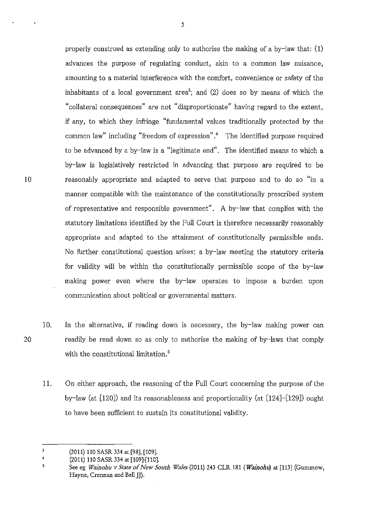properly construed as extending only to authorise the making of a by-law that: (1) advances the purpose of regulating conduct, akin to a common law nuisance, amounting to a material interference with the comfort, convenience or safety of the inhabitants of a local government area<sup>3</sup>; and (2) does so by means of which the "collateral consequences" are not "disproportionate" having regard to the extent, if any, to which they infringe "fundamental values traditionally protected by the common law" including "freedom of expression".< The identified purpose required to be advanced by a by-law is a "legitimate end". The identified means to which a by-law is legislatively restricted in advancing that purpose are required to be reasonably appropriate and adapted to serve that purpose and to do so "in a manner compatible with the maintenance of the constitutionally prescribed system of representative and responsible government". A by-law that complies with the statutory limitations identified by the Full Court is therefore necessarily reasonably appropriate and adapted to the attainment of constitutionally permissible ends. No further constitutional question arises: a by-law meeting the statutory criteria for validity will be within the constitutionally permissible scope of the by-law making power even where the by-law operates to impose a burden upon communication about political or governmental matters.

- 10. In the alternative, if reading down is necessary, the by-law making power can readily be read down so as only to authorise the making of by-laws that comply with the constitutional limitation.<sup>5</sup>
	- 11. On either approach, the reasoning of the Full Court concerning the purpose of the by-law (at [120]) and its reasonableness and proportionality (at [124]-[129]) ought to have been sufficient to sustain its constitutional validity.

10

 $\overline{\mathbf{3}}$ (2011) 110 SASR 334 at [98], [109].

 $\ddot{\mathbf{4}}$ (2011) 110 SASR 334 at [109]-[110].

<sup>5</sup> See eg *Wainohu v State of New South Wales* (2011) 243 CLR 181 *(Wainohu)* at [113] (Gummow, Hayne, Crennan and Bell JJ).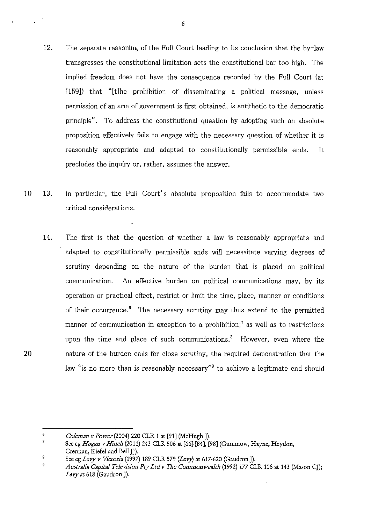- 12. The separate reasoning of the Full Court leading to its conclusion that the by-law transgresses the constitutional limitation sets the constitutional bar too high. The implied freedom does not have the consequence recorded by the Full Court (at [159]) that "[t]he prohibition of disseminating a political message, unless permission of an arm of government is first obtained, is antithetic to the democratic principle". To address the constitutional question by adopting such an absolute proposition effectively fails to engage with the necessary question of whether it is reasonably appropriate and adapted to constitutionally permissible ends. It precludes the inquiry or, rather, assumes the answer.
- 10 13. In particular, the Full Court's absolute proposition fails to accommodate two critical considerations.
	- 14. The first is that the question of whether a law is reasonably appropriate and adapted to constitutionally permissible ends will necessitate varying degrees of scrutiny depending on the nature of the burden that is placed on political communication. An effective burden on political communications may, by its operation or practical effect, restrict or limit the time, place, manner or conditions of their occurrence.<sup>6</sup> The necessary scrutiny may thus extend to the permitted manner of communication in exception to a prohibition;<sup> $7$ </sup> as well as to restrictions upon the time and place of such communications.<sup>8</sup> However, even where the nature of the burden calls for close scrutiny, the required demonstration that the law "is no more than is reasonably necessary"<sup>9</sup> to achieve a legitimate end should

<sup>6</sup>  *Coleman v Power(2004)* 220 CLR 1 at [91] (McHugh]).

<sup>7</sup>  See eg *Hogan v Hinch* (2011) 243 CLR 506 at [66}[84], [98] (Gummow, Hayne, Heydon, Grennan, Kiefel and Bell JJ).

<sup>8</sup> See eg *Levy v Victoria* (1997) 189 CLR 579 *(Levy*) at 617-620 *(Gaudron I)*.

<sup>9</sup> *Australia Capital Television Pty Ltd v The Commonwealth* (1992) 177 CLR 106 at 143 (Mason CJ); *Levy* at 618 (Gaudron *]).*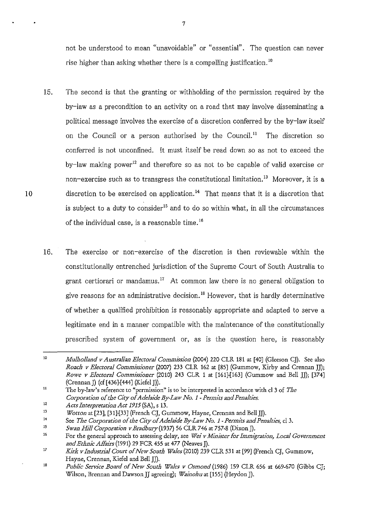not be understood to mean "unavoidable" or "essential". The question can never rise higher than asking whether there is a compelling justification.<sup>10</sup>

- 15. The second is that the granting or withholding of the permission required by the by-law as a precondition to an activity on a road that may involve disseminating a political message involves the exercise of a discretion conferred by the by-law itself on the Council or a person authorised by the Council.<sup>11</sup> The discretion so conferred is not unconfined. It must itself be read down so as not to exceed the by-law making power<sup>12</sup> and therefore so as not to be capable of valid exercise or non-exercise such as to transgress the constitutional limitation.<sup>13</sup> Moreover, it is a discretion to be exercised on application.<sup>14</sup> That means that it is a discretion that is subject to a duty to consider<sup>15</sup> and to do so within what, in all the circumstances of the individual case, is a reasonable time. 16
- 16. The exercise or non-exercise of the discretion is then reviewable within the constitutionally entrenched jurisdiction of the Supreme Court of South Australia to grant certiorari or mandamus.<sup>17</sup> At common law there is no general obligation to give reasons for an administrative decision.<sup>18</sup> However, that is hardly determinative of whether a qualified prohibition is reasonably appropriate and adapted to serve a legitimate end in a manner compatible with the maintenance of the constitutionally prescribed system of government or, as is the question here, is reasonably

10

<sup>10</sup>  *Mulholland v Australian Electoral Commission* (2004) 220 CLR 181 at [40] (Gleeson C]). See also *Roach v Electoral Commissioner* (2007) 233 CLR 162 at [85] (Gummow, Kirby and Crennan JD; *Rowe v Electoral Commissioner* (2010) 243 CLR 1 at [161]-[163] (Gummow and Bell JJ); [374] (Crennan J) (cf [436]-[444] (Kiefel J).

<sup>11</sup>  **The by-law's reference to "permission" is to be interpreted in accordance with cl3 of** *The Corporation of the City of Adelaide By-Law No.* 1 *-Permits and Penalties.* 

<sup>12</sup>  *Acts Interpretation Act* 1915 (SA), s 13.

<sup>13</sup>  *Wotton* at [23], [31}[33] (French CJ, Gummow, Hayne, Crennan and Bell JD.

<sup>14</sup>  See *The Corporation of the City of Adelaide By-Law No. 1-Permits and Penalties,* cl 3.

IS *Swan Hill Corporation v Bradbury* (1937) <sup>56</sup> CLR 746 at 757-8 (Dixon J).

<sup>16</sup>  For the general approach to assessing delay, see *Wei v Minister for Immigration, Local Government*  and Ethnic Affairs (1991) 29 FCR 455 at 477 (Neaves J).

<sup>17</sup>  *Kirk v Industrial Court of New South Wales* (2010) 239 CLR 531 at [99] (French CJ, Gummow, Hayne, Crennan, Kiefel and Bell JJ).

<sup>18</sup>  *Public Service Board of New South Wales v Osmond* (1986) 159 CLR 656 at 669-670 (Gibbs CJ; Wilson, Brennan and Dawson]] agreeing); *Wainohuat* [155] (Heydon]).